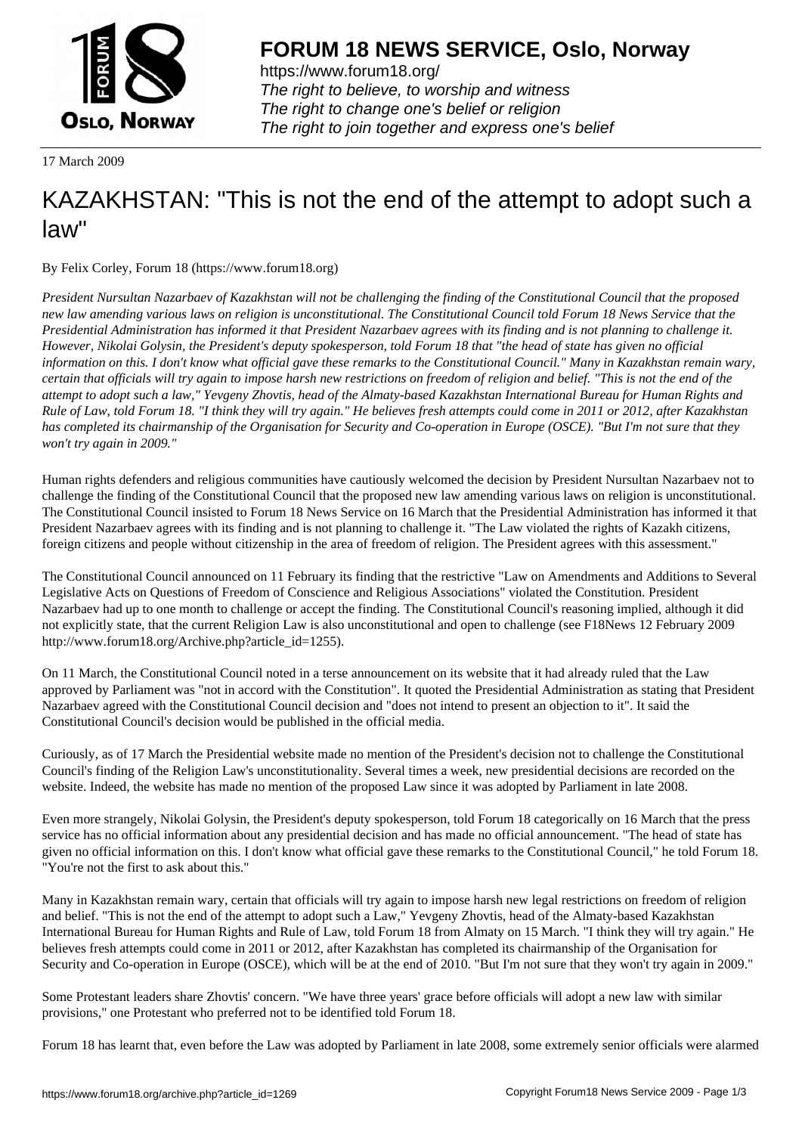

https://www.forum18.org/ The right to believe, to worship and witness The right to change one's belief or religion [The right to join together a](https://www.forum18.org/)nd express one's belief

17 March 2009

## [KAZAKHSTAN:](https://www.forum18.org) "This is not the end of the attempt to adopt such a law"

By Felix Corley, Forum 18 (https://www.forum18.org)

*President Nursultan Nazarbaev of Kazakhstan will not be challenging the finding of the Constitutional Council that the proposed new law amending various laws on religion is unconstitutional. The Constitutional Council told Forum 18 News Service that the Presidential Administration has informed it that President Nazarbaev agrees with its finding and is not planning to challenge it. However, Nikolai Golysin, the President's deputy spokesperson, told Forum 18 that "the head of state has given no official information on this. I don't know what official gave these remarks to the Constitutional Council." Many in Kazakhstan remain wary, certain that officials will try again to impose harsh new restrictions on freedom of religion and belief. "This is not the end of the attempt to adopt such a law," Yevgeny Zhovtis, head of the Almaty-based Kazakhstan International Bureau for Human Rights and Rule of Law, told Forum 18. "I think they will try again." He believes fresh attempts could come in 2011 or 2012, after Kazakhstan has completed its chairmanship of the Organisation for Security and Co-operation in Europe (OSCE). "But I'm not sure that they won't try again in 2009."*

Human rights defenders and religious communities have cautiously welcomed the decision by President Nursultan Nazarbaev not to challenge the finding of the Constitutional Council that the proposed new law amending various laws on religion is unconstitutional. The Constitutional Council insisted to Forum 18 News Service on 16 March that the Presidential Administration has informed it that President Nazarbaev agrees with its finding and is not planning to challenge it. "The Law violated the rights of Kazakh citizens, foreign citizens and people without citizenship in the area of freedom of religion. The President agrees with this assessment."

The Constitutional Council announced on 11 February its finding that the restrictive "Law on Amendments and Additions to Several Legislative Acts on Questions of Freedom of Conscience and Religious Associations" violated the Constitution. President Nazarbaev had up to one month to challenge or accept the finding. The Constitutional Council's reasoning implied, although it did not explicitly state, that the current Religion Law is also unconstitutional and open to challenge (see F18News 12 February 2009 http://www.forum18.org/Archive.php?article\_id=1255).

On 11 March, the Constitutional Council noted in a terse announcement on its website that it had already ruled that the Law approved by Parliament was "not in accord with the Constitution". It quoted the Presidential Administration as stating that President Nazarbaev agreed with the Constitutional Council decision and "does not intend to present an objection to it". It said the Constitutional Council's decision would be published in the official media.

Curiously, as of 17 March the Presidential website made no mention of the President's decision not to challenge the Constitutional Council's finding of the Religion Law's unconstitutionality. Several times a week, new presidential decisions are recorded on the website. Indeed, the website has made no mention of the proposed Law since it was adopted by Parliament in late 2008.

Even more strangely, Nikolai Golysin, the President's deputy spokesperson, told Forum 18 categorically on 16 March that the press service has no official information about any presidential decision and has made no official announcement. "The head of state has given no official information on this. I don't know what official gave these remarks to the Constitutional Council," he told Forum 18. "You're not the first to ask about this."

Many in Kazakhstan remain wary, certain that officials will try again to impose harsh new legal restrictions on freedom of religion and belief. "This is not the end of the attempt to adopt such a Law," Yevgeny Zhovtis, head of the Almaty-based Kazakhstan International Bureau for Human Rights and Rule of Law, told Forum 18 from Almaty on 15 March. "I think they will try again." He believes fresh attempts could come in 2011 or 2012, after Kazakhstan has completed its chairmanship of the Organisation for Security and Co-operation in Europe (OSCE), which will be at the end of 2010. "But I'm not sure that they won't try again in 2009."

Some Protestant leaders share Zhovtis' concern. "We have three years' grace before officials will adopt a new law with similar provisions," one Protestant who preferred not to be identified told Forum 18.

Forum 18 has learnt that, even before the Law was adopted by Parliament in late 2008, some extremely senior officials were alarmed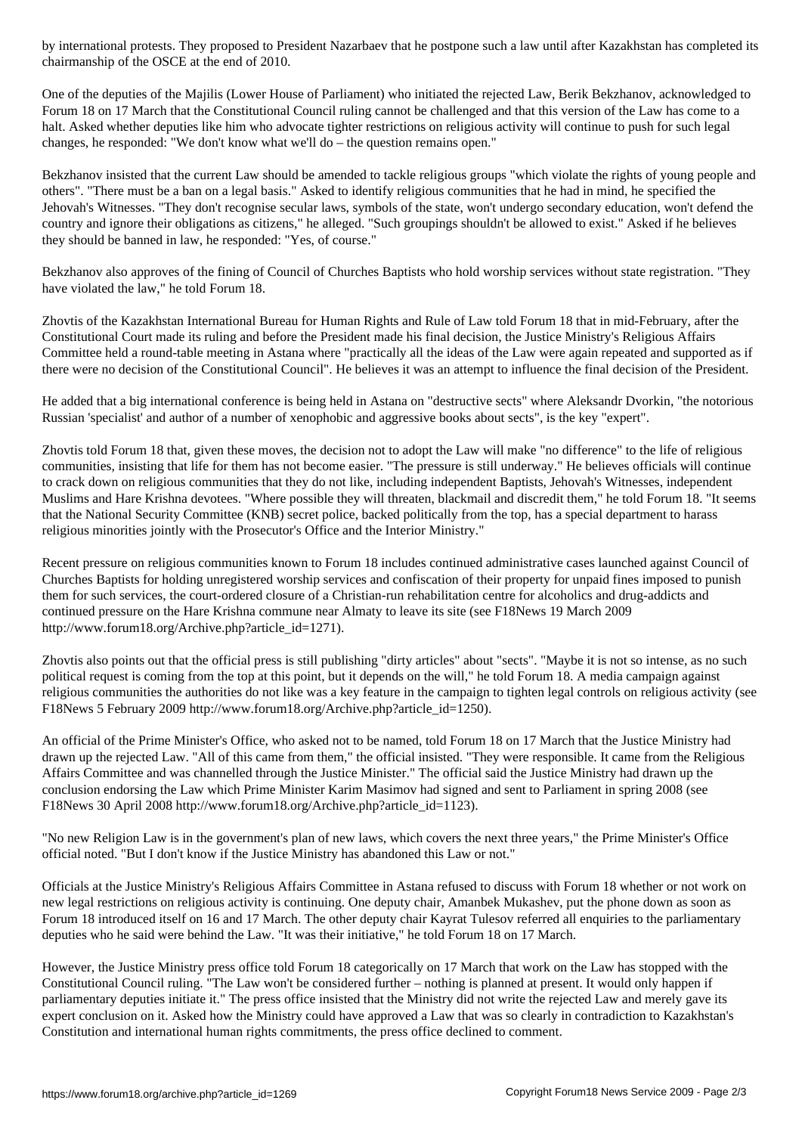One of the deputies of the Majilis (Lower House of Parliament) who initiated the rejected Law, Berik Bekzhanov, acknowledged to Forum 18 on 17 March that the Constitutional Council ruling cannot be challenged and that this version of the Law has come to a halt. Asked whether deputies like him who advocate tighter restrictions on religious activity will continue to push for such legal changes, he responded: "We don't know what we'll do – the question remains open."

Bekzhanov insisted that the current Law should be amended to tackle religious groups "which violate the rights of young people and others". "There must be a ban on a legal basis." Asked to identify religious communities that he had in mind, he specified the Jehovah's Witnesses. "They don't recognise secular laws, symbols of the state, won't undergo secondary education, won't defend the country and ignore their obligations as citizens," he alleged. "Such groupings shouldn't be allowed to exist." Asked if he believes they should be banned in law, he responded: "Yes, of course."

Bekzhanov also approves of the fining of Council of Churches Baptists who hold worship services without state registration. "They have violated the law," he told Forum 18.

Zhovtis of the Kazakhstan International Bureau for Human Rights and Rule of Law told Forum 18 that in mid-February, after the Constitutional Court made its ruling and before the President made his final decision, the Justice Ministry's Religious Affairs Committee held a round-table meeting in Astana where "practically all the ideas of the Law were again repeated and supported as if there were no decision of the Constitutional Council". He believes it was an attempt to influence the final decision of the President.

He added that a big international conference is being held in Astana on "destructive sects" where Aleksandr Dvorkin, "the notorious Russian 'specialist' and author of a number of xenophobic and aggressive books about sects", is the key "expert".

Zhovtis told Forum 18 that, given these moves, the decision not to adopt the Law will make "no difference" to the life of religious communities, insisting that life for them has not become easier. "The pressure is still underway." He believes officials will continue to crack down on religious communities that they do not like, including independent Baptists, Jehovah's Witnesses, independent Muslims and Hare Krishna devotees. "Where possible they will threaten, blackmail and discredit them," he told Forum 18. "It seems that the National Security Committee (KNB) secret police, backed politically from the top, has a special department to harass religious minorities jointly with the Prosecutor's Office and the Interior Ministry."

Recent pressure on religious communities known to Forum 18 includes continued administrative cases launched against Council of Churches Baptists for holding unregistered worship services and confiscation of their property for unpaid fines imposed to punish them for such services, the court-ordered closure of a Christian-run rehabilitation centre for alcoholics and drug-addicts and continued pressure on the Hare Krishna commune near Almaty to leave its site (see F18News 19 March 2009 http://www.forum18.org/Archive.php?article\_id=1271).

Zhovtis also points out that the official press is still publishing "dirty articles" about "sects". "Maybe it is not so intense, as no such political request is coming from the top at this point, but it depends on the will," he told Forum 18. A media campaign against religious communities the authorities do not like was a key feature in the campaign to tighten legal controls on religious activity (see F18News 5 February 2009 http://www.forum18.org/Archive.php?article\_id=1250).

An official of the Prime Minister's Office, who asked not to be named, told Forum 18 on 17 March that the Justice Ministry had drawn up the rejected Law. "All of this came from them," the official insisted. "They were responsible. It came from the Religious Affairs Committee and was channelled through the Justice Minister." The official said the Justice Ministry had drawn up the conclusion endorsing the Law which Prime Minister Karim Masimov had signed and sent to Parliament in spring 2008 (see F18News 30 April 2008 http://www.forum18.org/Archive.php?article\_id=1123).

"No new Religion Law is in the government's plan of new laws, which covers the next three years," the Prime Minister's Office official noted. "But I don't know if the Justice Ministry has abandoned this Law or not."

Officials at the Justice Ministry's Religious Affairs Committee in Astana refused to discuss with Forum 18 whether or not work on new legal restrictions on religious activity is continuing. One deputy chair, Amanbek Mukashev, put the phone down as soon as Forum 18 introduced itself on 16 and 17 March. The other deputy chair Kayrat Tulesov referred all enquiries to the parliamentary deputies who he said were behind the Law. "It was their initiative," he told Forum 18 on 17 March.

However, the Justice Ministry press office told Forum 18 categorically on 17 March that work on the Law has stopped with the Constitutional Council ruling. "The Law won't be considered further – nothing is planned at present. It would only happen if parliamentary deputies initiate it." The press office insisted that the Ministry did not write the rejected Law and merely gave its expert conclusion on it. Asked how the Ministry could have approved a Law that was so clearly in contradiction to Kazakhstan's Constitution and international human rights commitments, the press office declined to comment.

chairmanship of the OSCE at the OSCE at the OSCE at the end of 2010. The end of 2010 at the end of 2010 at the